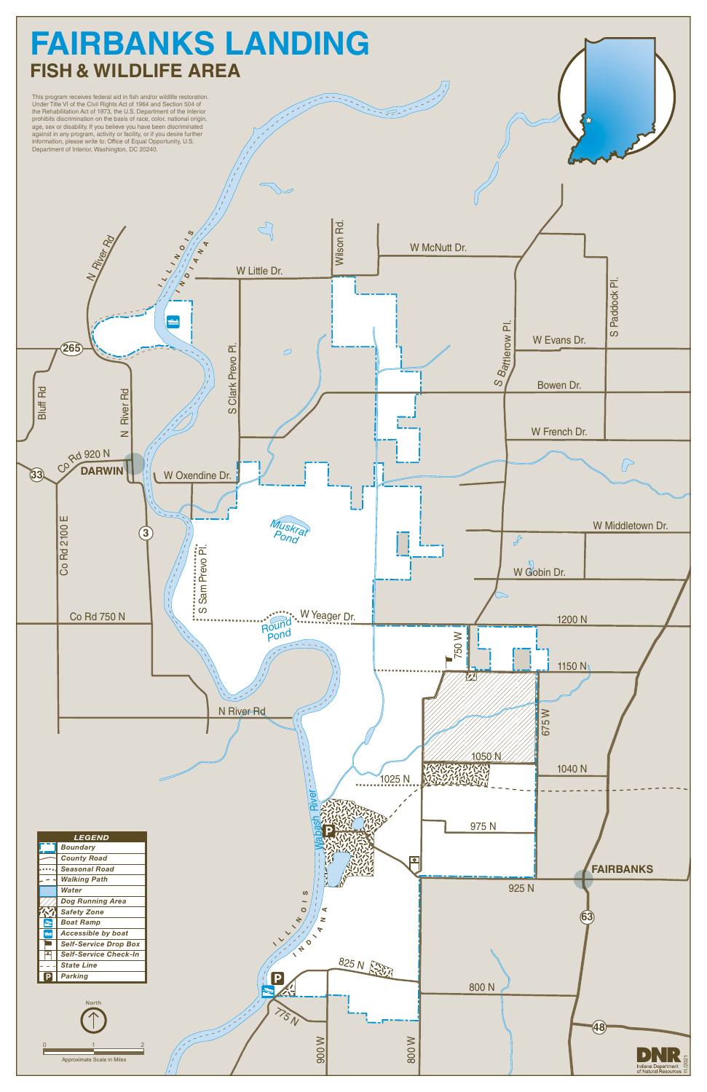